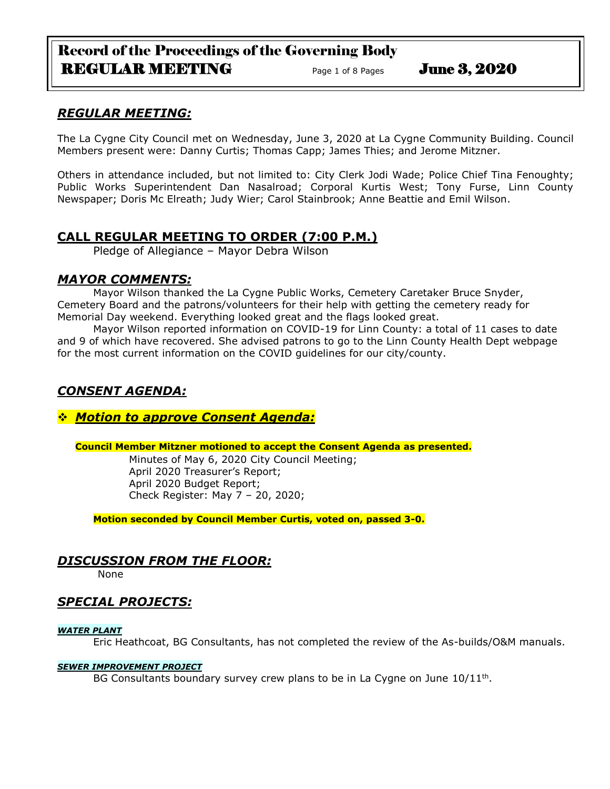# Record of the Proceedings of the Governing Body REGULAR MEETING<br>
Page 1 of 8 Pages June 3, 2020

# *REGULAR MEETING:*

The La Cygne City Council met on Wednesday, June 3, 2020 at La Cygne Community Building. Council Members present were: Danny Curtis; Thomas Capp; James Thies; and Jerome Mitzner.

Others in attendance included, but not limited to: City Clerk Jodi Wade; Police Chief Tina Fenoughty; Public Works Superintendent Dan Nasalroad; Corporal Kurtis West; Tony Furse, Linn County Newspaper; Doris Mc Elreath; Judy Wier; Carol Stainbrook; Anne Beattie and Emil Wilson.

# **CALL REGULAR MEETING TO ORDER (7:00 P.M.)**

Pledge of Allegiance – Mayor Debra Wilson

## *MAYOR COMMENTS:*

Mayor Wilson thanked the La Cygne Public Works, Cemetery Caretaker Bruce Snyder, Cemetery Board and the patrons/volunteers for their help with getting the cemetery ready for Memorial Day weekend. Everything looked great and the flags looked great.

Mayor Wilson reported information on COVID-19 for Linn County: a total of 11 cases to date and 9 of which have recovered. She advised patrons to go to the Linn County Health Dept webpage for the most current information on the COVID guidelines for our city/county.

# *CONSENT AGENDA:*

# *Motion to approve Consent Agenda:*

## **Council Member Mitzner motioned to accept the Consent Agenda as presented.**

Minutes of May 6, 2020 City Council Meeting; April 2020 Treasurer's Report; April 2020 Budget Report; Check Register: May 7 – 20, 2020;

**Motion seconded by Council Member Curtis, voted on, passed 3-0.** 

# *DISCUSSION FROM THE FLOOR:*

None

# *SPECIAL PROJECTS:*

## *WATER PLANT*

Eric Heathcoat, BG Consultants, has not completed the review of the As-builds/O&M manuals.

## *SEWER IMPROVEMENT PROJECT*

BG Consultants boundary survey crew plans to be in La Cygne on June  $10/11<sup>th</sup>$ .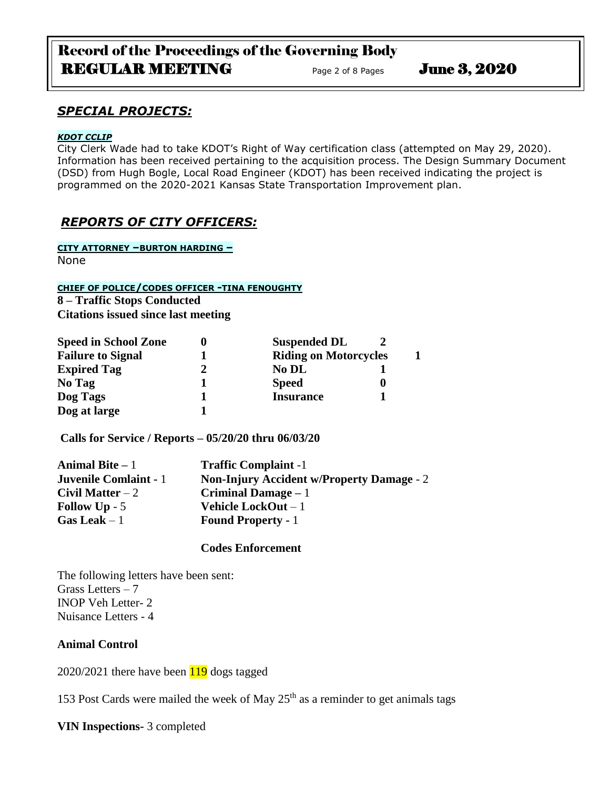# Record of the Proceedings of the Governing Body REGULAR MEETING Page 2 of 8 Pages June 3, 2020

# *SPECIAL PROJECTS:*

## *KDOT CCLIP*

City Clerk Wade had to take KDOT's Right of Way certification class (attempted on May 29, 2020). Information has been received pertaining to the acquisition process. The Design Summary Document (DSD) from Hugh Bogle, Local Road Engineer (KDOT) has been received indicating the project is programmed on the 2020-2021 Kansas State Transportation Improvement plan.

# *REPORTS OF CITY OFFICERS:*

**CITY ATTORNEY –BURTON HARDING –**

None

### **CHIEF OF POLICE/CODES OFFICER -TINA FENOUGHTY**

**8 – Traffic Stops Conducted Citations issued since last meeting**

| <b>Speed in School Zone</b> | <b>Suspended DL</b>          |  |
|-----------------------------|------------------------------|--|
| <b>Failure to Signal</b>    | <b>Riding on Motorcycles</b> |  |
| <b>Expired Tag</b>          | <b>No DL</b>                 |  |
| No Tag                      | <b>Speed</b>                 |  |
| Dog Tags                    | <b>Insurance</b>             |  |
| Dog at large                |                              |  |

**Calls for Service / Reports – 05/20/20 thru 06/03/20**

| Animal Bite $-1$             | <b>Traffic Complaint -1</b>                      |
|------------------------------|--------------------------------------------------|
| <b>Juvenile Comlaint - 1</b> | <b>Non-Injury Accident w/Property Damage - 2</b> |
| Civil Matter $-2$            | Criminal Damage $-1$                             |
| Follow $Up - 5$              | Vehicle LockOut-1                                |
| Gas Leak $-1$                | <b>Found Property - 1</b>                        |

## **Codes Enforcement**

The following letters have been sent: Grass Letters – 7 INOP Veh Letter- 2 Nuisance Letters - 4

## **Animal Control**

 $2020/2021$  there have been  $119$  dogs tagged

153 Post Cards were mailed the week of May  $25<sup>th</sup>$  as a reminder to get animals tags

**VIN Inspections-** 3 completed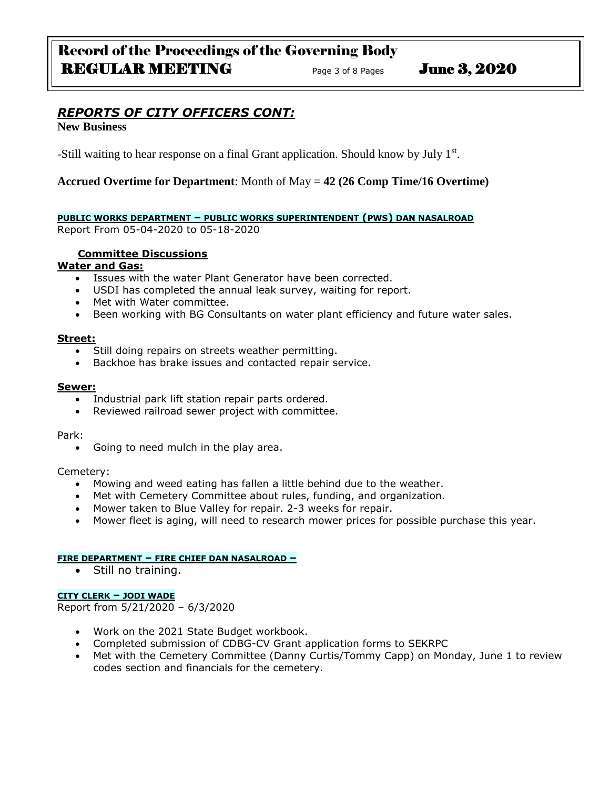# Record of the Proceedings of the Governing Body REGULAR MEETING Page 3 of 8 Pages June 3, 2020

# *REPORTS OF CITY OFFICERS CONT:*

**New Business**

-Still waiting to hear response on a final Grant application. Should know by July 1<sup>st</sup>.

## **Accrued Overtime for Department**: Month of May = **42 (26 Comp Time/16 Overtime)**

#### **PUBLIC WORKS DEPARTMENT – PUBLIC WORKS SUPERINTENDENT (PWS) DAN NASALROAD** Report From 05-04-2020 to 05-18-2020

## **Committee Discussions**

### **Water and Gas:**

- Issues with the water Plant Generator have been corrected.
- USDI has completed the annual leak survey, waiting for report.
- Met with Water committee.
- Been working with BG Consultants on water plant efficiency and future water sales.

#### **Street:**

- Still doing repairs on streets weather permitting.
- Backhoe has brake issues and contacted repair service.

#### **Sewer:**

- Industrial park lift station repair parts ordered.
- Reviewed railroad sewer project with committee.

#### Park:

• Going to need mulch in the play area.

#### Cemetery:

- Mowing and weed eating has fallen a little behind due to the weather.
- Met with Cemetery Committee about rules, funding, and organization.
- Mower taken to Blue Valley for repair. 2-3 weeks for repair.
- Mower fleet is aging, will need to research mower prices for possible purchase this year.

#### **FIRE DEPARTMENT – FIRE CHIEF DAN NASALROAD –**

• Still no training.

#### **CITY CLERK – JODI WADE**

Report from 5/21/2020 – 6/3/2020

- Work on the 2021 State Budget workbook.
- Completed submission of CDBG-CV Grant application forms to SEKRPC
- Met with the Cemetery Committee (Danny Curtis/Tommy Capp) on Monday, June 1 to review codes section and financials for the cemetery.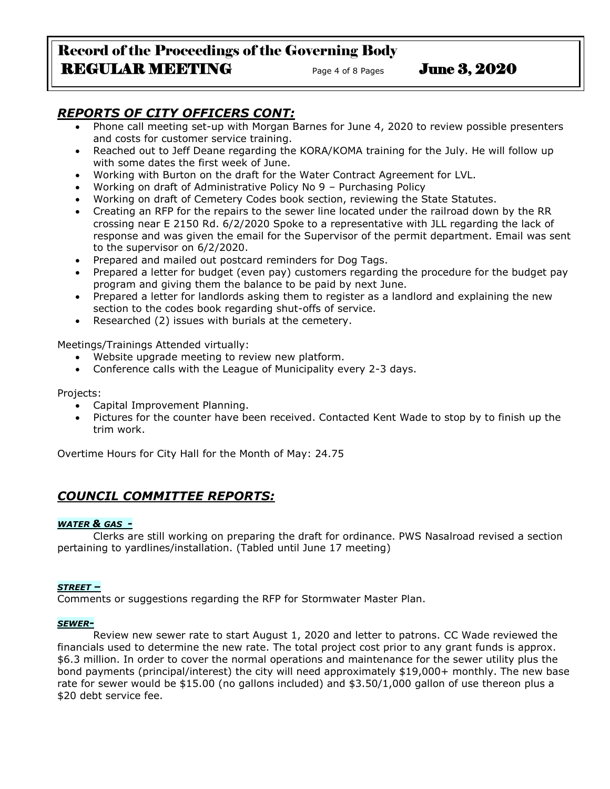# Record of the Proceedings of the Governing Body REGULAR MEETING Page 4 of 8 Pages June 3, 2020

# *REPORTS OF CITY OFFICERS CONT:*

- Phone call meeting set-up with Morgan Barnes for June 4, 2020 to review possible presenters and costs for customer service training.
- Reached out to Jeff Deane regarding the KORA/KOMA training for the July. He will follow up with some dates the first week of June.
- Working with Burton on the draft for the Water Contract Agreement for LVL.
- Working on draft of Administrative Policy No 9 Purchasing Policy
- Working on draft of Cemetery Codes book section, reviewing the State Statutes.
- Creating an RFP for the repairs to the sewer line located under the railroad down by the RR crossing near E 2150 Rd. 6/2/2020 Spoke to a representative with JLL regarding the lack of response and was given the email for the Supervisor of the permit department. Email was sent to the supervisor on 6/2/2020.
- Prepared and mailed out postcard reminders for Dog Tags.
- Prepared a letter for budget (even pay) customers regarding the procedure for the budget pay program and giving them the balance to be paid by next June.
- Prepared a letter for landlords asking them to register as a landlord and explaining the new section to the codes book regarding shut-offs of service.
- Researched (2) issues with burials at the cemetery.

Meetings/Trainings Attended virtually:

- Website upgrade meeting to review new platform.
- Conference calls with the League of Municipality every 2-3 days.

Projects:

- Capital Improvement Planning.
- Pictures for the counter have been received. Contacted Kent Wade to stop by to finish up the trim work.

Overtime Hours for City Hall for the Month of May: 24.75

# *COUNCIL COMMITTEE REPORTS:*

## *WATER & GAS -*

Clerks are still working on preparing the draft for ordinance. PWS Nasalroad revised a section pertaining to yardlines/installation. (Tabled until June 17 meeting)

## *STREET –*

Comments or suggestions regarding the RFP for Stormwater Master Plan.

#### *SEWER-*

Review new sewer rate to start August 1, 2020 and letter to patrons. CC Wade reviewed the financials used to determine the new rate. The total project cost prior to any grant funds is approx. \$6.3 million. In order to cover the normal operations and maintenance for the sewer utility plus the bond payments (principal/interest) the city will need approximately \$19,000+ monthly. The new base rate for sewer would be \$15.00 (no gallons included) and \$3.50/1,000 gallon of use thereon plus a \$20 debt service fee.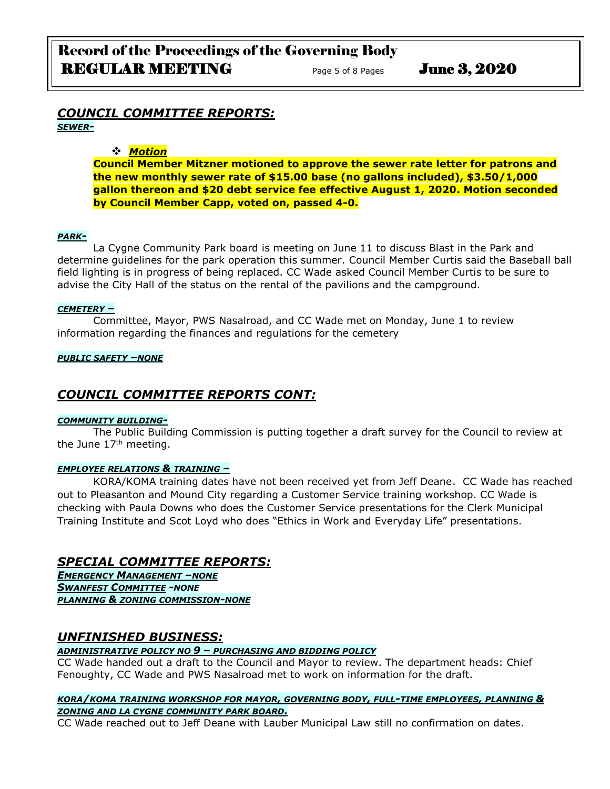## *COUNCIL COMMITTEE REPORTS: SEWER-*

### *Motion*

**Council Member Mitzner motioned to approve the sewer rate letter for patrons and the new monthly sewer rate of \$15.00 base (no gallons included), \$3.50/1,000 gallon thereon and \$20 debt service fee effective August 1, 2020. Motion seconded by Council Member Capp, voted on, passed 4-0.** 

#### *PARK-*

La Cygne Community Park board is meeting on June 11 to discuss Blast in the Park and determine guidelines for the park operation this summer. Council Member Curtis said the Baseball ball field lighting is in progress of being replaced. CC Wade asked Council Member Curtis to be sure to advise the City Hall of the status on the rental of the pavilions and the campground.

#### *CEMETERY –*

Committee, Mayor, PWS Nasalroad, and CC Wade met on Monday, June 1 to review information regarding the finances and regulations for the cemetery

#### *PUBLIC SAFETY –NONE*

## *COUNCIL COMMITTEE REPORTS CONT:*

#### *COMMUNITY BUILDING-*

The Public Building Commission is putting together a draft survey for the Council to review at the June  $17<sup>th</sup>$  meeting.

### *EMPLOYEE RELATIONS & TRAINING –*

KORA/KOMA training dates have not been received yet from Jeff Deane. CC Wade has reached out to Pleasanton and Mound City regarding a Customer Service training workshop. CC Wade is checking with Paula Downs who does the Customer Service presentations for the Clerk Municipal Training Institute and Scot Loyd who does "Ethics in Work and Everyday Life" presentations.

## *SPECIAL COMMITTEE REPORTS:*

*EMERGENCY MANAGEMENT –NONE SWANFEST COMMITTEE -NONE PLANNING & ZONING COMMISSION-NONE*

## *UNFINISHED BUSINESS:*

#### *ADMINISTRATIVE POLICY NO 9 – PURCHASING AND BIDDING POLICY*

CC Wade handed out a draft to the Council and Mayor to review. The department heads: Chief Fenoughty, CC Wade and PWS Nasalroad met to work on information for the draft.

#### *KORA/KOMA TRAINING WORKSHOP FOR MAYOR, GOVERNING BODY, FULL-TIME EMPLOYEES, PLANNING & ZONING AND LA CYGNE COMMUNITY PARK BOARD.*

CC Wade reached out to Jeff Deane with Lauber Municipal Law still no confirmation on dates.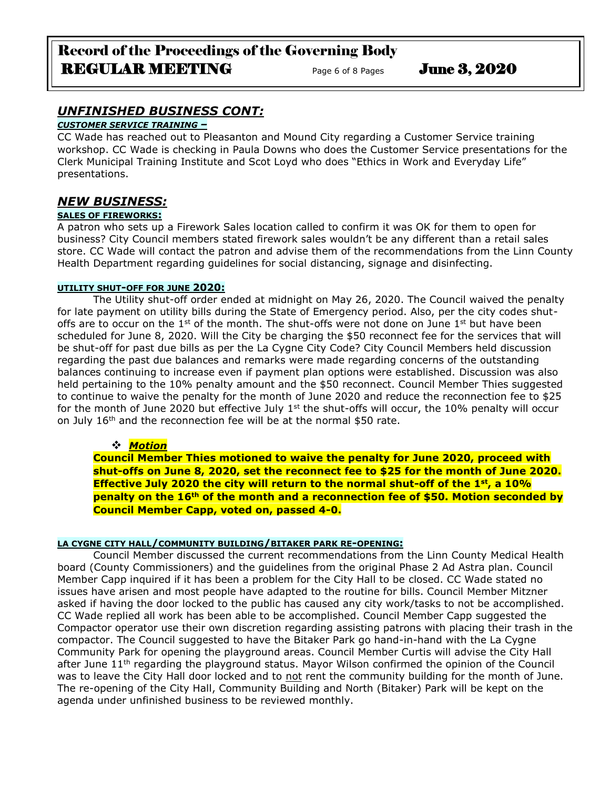# Record of the Proceedings of the Governing Body REGULAR MEETING<br>
Page 6 of 8 Pages June 3, 2020

# *UNFINISHED BUSINESS CONT:*

## *CUSTOMER SERVICE TRAINING –*

CC Wade has reached out to Pleasanton and Mound City regarding a Customer Service training workshop. CC Wade is checking in Paula Downs who does the Customer Service presentations for the Clerk Municipal Training Institute and Scot Loyd who does "Ethics in Work and Everyday Life" presentations.

## *NEW BUSINESS:*

#### **SALES OF FIREWORKS:**

A patron who sets up a Firework Sales location called to confirm it was OK for them to open for business? City Council members stated firework sales wouldn't be any different than a retail sales store. CC Wade will contact the patron and advise them of the recommendations from the Linn County Health Department regarding guidelines for social distancing, signage and disinfecting.

#### **UTILITY SHUT-OFF FOR JUNE 2020:**

The Utility shut-off order ended at midnight on May 26, 2020. The Council waived the penalty for late payment on utility bills during the State of Emergency period. Also, per the city codes shutoffs are to occur on the  $1<sup>st</sup>$  of the month. The shut-offs were not done on June  $1<sup>st</sup>$  but have been scheduled for June 8, 2020. Will the City be charging the \$50 reconnect fee for the services that will be shut-off for past due bills as per the La Cygne City Code? City Council Members held discussion regarding the past due balances and remarks were made regarding concerns of the outstanding balances continuing to increase even if payment plan options were established. Discussion was also held pertaining to the 10% penalty amount and the \$50 reconnect. Council Member Thies suggested to continue to waive the penalty for the month of June 2020 and reduce the reconnection fee to \$25 for the month of June 2020 but effective July  $1<sup>st</sup>$  the shut-offs will occur, the 10% penalty will occur on July 16th and the reconnection fee will be at the normal \$50 rate.

#### *Motion*

**Council Member Thies motioned to waive the penalty for June 2020, proceed with shut-offs on June 8, 2020, set the reconnect fee to \$25 for the month of June 2020. Effective July 2020 the city will return to the normal shut-off of the 1st, a 10% penalty on the 16th of the month and a reconnection fee of \$50. Motion seconded by Council Member Capp, voted on, passed 4-0.** 

### **LA CYGNE CITY HALL/COMMUNITY BUILDING/BITAKER PARK RE-OPENING:**

Council Member discussed the current recommendations from the Linn County Medical Health board (County Commissioners) and the guidelines from the original Phase 2 Ad Astra plan. Council Member Capp inquired if it has been a problem for the City Hall to be closed. CC Wade stated no issues have arisen and most people have adapted to the routine for bills. Council Member Mitzner asked if having the door locked to the public has caused any city work/tasks to not be accomplished. CC Wade replied all work has been able to be accomplished. Council Member Capp suggested the Compactor operator use their own discretion regarding assisting patrons with placing their trash in the compactor. The Council suggested to have the Bitaker Park go hand-in-hand with the La Cygne Community Park for opening the playground areas. Council Member Curtis will advise the City Hall after June  $11<sup>th</sup>$  regarding the playground status. Mayor Wilson confirmed the opinion of the Council was to leave the City Hall door locked and to not rent the community building for the month of June. The re-opening of the City Hall, Community Building and North (Bitaker) Park will be kept on the agenda under unfinished business to be reviewed monthly.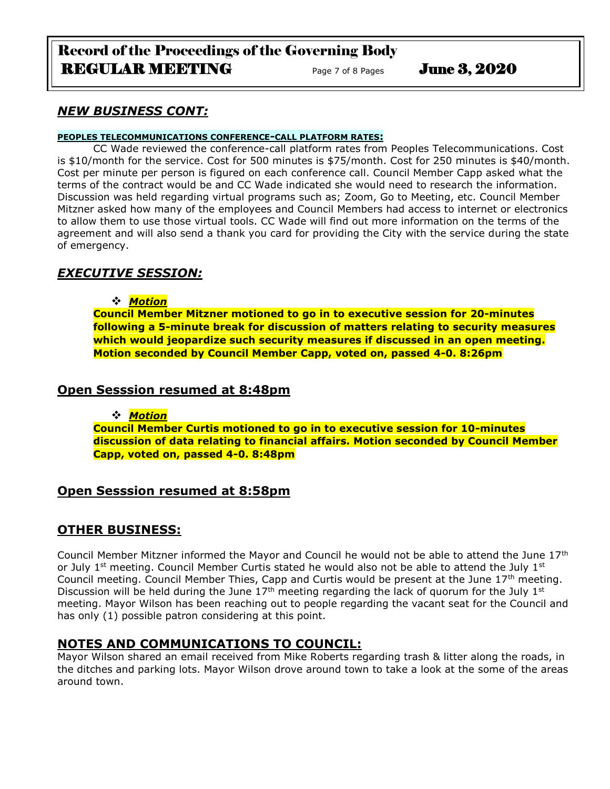# Record of the Proceedings of the Governing Body REGULAR MEETING Page 7 of 8 Pages June 3, 2020

# *NEW BUSINESS CONT:*

## **PEOPLES TELECOMMUNICATIONS CONFERENCE-CALL PLATFORM RATES:**

CC Wade reviewed the conference-call platform rates from Peoples Telecommunications. Cost is \$10/month for the service. Cost for 500 minutes is \$75/month. Cost for 250 minutes is \$40/month. Cost per minute per person is figured on each conference call. Council Member Capp asked what the terms of the contract would be and CC Wade indicated she would need to research the information. Discussion was held regarding virtual programs such as; Zoom, Go to Meeting, etc. Council Member Mitzner asked how many of the employees and Council Members had access to internet or electronics to allow them to use those virtual tools. CC Wade will find out more information on the terms of the agreement and will also send a thank you card for providing the City with the service during the state of emergency.

# *EXECUTIVE SESSION:*

*Motion* 

**Council Member Mitzner motioned to go in to executive session for 20-minutes following a 5-minute break for discussion of matters relating to security measures which would jeopardize such security measures if discussed in an open meeting. Motion seconded by Council Member Capp, voted on, passed 4-0. 8:26pm** 

## **Open Sesssion resumed at 8:48pm**

## *Motion*

**Council Member Curtis motioned to go in to executive session for 10-minutes discussion of data relating to financial affairs. Motion seconded by Council Member Capp, voted on, passed 4-0. 8:48pm** 

## **Open Sesssion resumed at 8:58pm**

# **OTHER BUSINESS:**

Council Member Mitzner informed the Mayor and Council he would not be able to attend the June 17th or July 1<sup>st</sup> meeting. Council Member Curtis stated he would also not be able to attend the July 1<sup>st</sup> Council meeting. Council Member Thies, Capp and Curtis would be present at the June  $17<sup>th</sup>$  meeting. Discussion will be held during the June  $17<sup>th</sup>$  meeting regarding the lack of quorum for the July  $1<sup>st</sup>$ meeting. Mayor Wilson has been reaching out to people regarding the vacant seat for the Council and has only (1) possible patron considering at this point.

# **NOTES AND COMMUNICATIONS TO COUNCIL:**

Mayor Wilson shared an email received from Mike Roberts regarding trash & litter along the roads, in the ditches and parking lots. Mayor Wilson drove around town to take a look at the some of the areas around town.